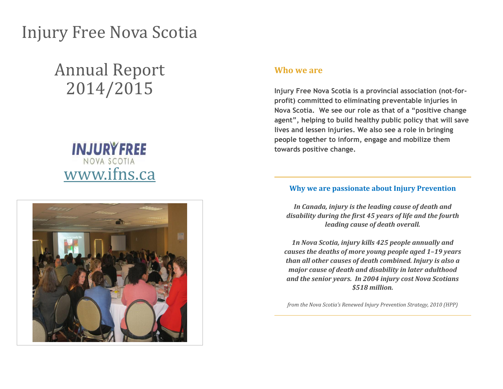# Injury Free Nova Scotia

# Annual Report 2014/2015

## **INJURY FREE** NOVA SCOTIA [www.ifns.ca](http://www.ifns.ca/)



#### **Who we are**

**Injury Free Nova Scotia is a provincial association (not-forprofit) committed to eliminating preventable injuries in Nova Scotia. We see our role as that of a "positive change agent", helping to build healthy public policy that will save lives and lessen injuries. We also see a role in bringing people together to inform, engage and mobilize them towards positive change.** 

#### **Why we are passionate about Injury Prevention**

*In Canada, injury is the leading cause of death and disability during the first 45 years of life and the fourth leading cause of death overall.*

*1n Nova Scotia, injury kills 425 people annually and causes the deaths of more young people aged 1–19 years than all other causes of death combined. Injury is also a major cause of death and disability in later adulthood and the senior years. In 2004 injury cost Nova Scotians \$518 million.*

*from the Nova Scotia's Renewed Injury Prevention Strategy, 2010 (HPP)*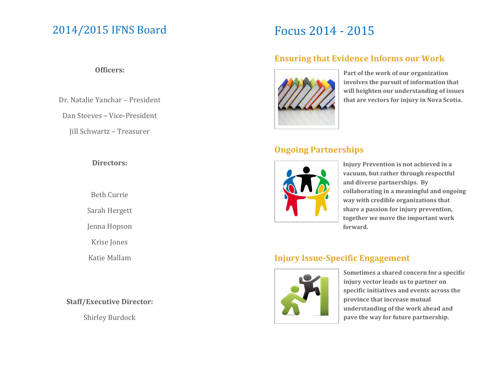## 2014/2015 IFNS Board

### **Officers:**

Dr. Natalie Yanchar – President

Dan Steeves – Vice-President

Jill Schwartz – Treasurer

**Directors:**

Beth Currie

Sarah Hergett

Jenna Hopson

Krise Jones

Katie Mallam

**Staff/Executive Director:** 

Shirley Burdock

## Focus 2014 - 2015

### **Ensuring that Evidence Informs our Work**



**Part of the work of our organization involves the pursuit of information that will heighten our understanding of issues that are vectors for injury in Nova Scotia.**

### **Ongoing Partnerships**



**Injury Prevention is not achieved in a vacuum, but rather through respectful and diverse partnerships. By collaborating in a meaningful and ongoing way with credible organizations that share a passion for injury prevention, together we move the important work forward.** 

### **Injury Issue-Specific Engagement**



**Sometimes a shared concern for a specific injury vector leads us to partner on specific initiatives and events across the province that increase mutual understanding of the work ahead and pave the way for future partnership.**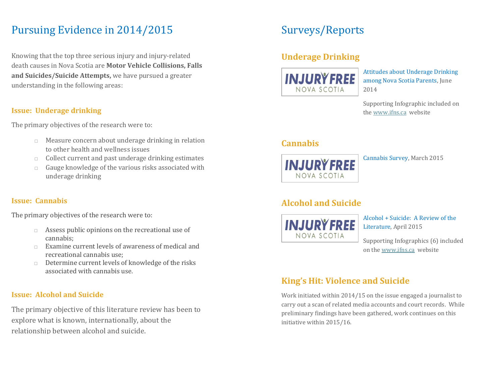## Pursuing Evidence in 2014/2015

Knowing that the top three serious injury and injury-related death causes in Nova Scotia are **Motor Vehicle Collisions, Falls and Suicides/Suicide Attempts,** we have pursued a greater understanding in the following areas:

### **Issue: Underage drinking**

The primary objectives of the research were to:

- $\Box$  Measure concern about underage drinking in relation to other health and wellness issues
- $\Box$  Collect current and past underage drinking estimates
- $\Box$  Gauge knowledge of the various risks associated with underage drinking

### **Issue: Cannabis**

The primary objectives of the research were to:

- $\Box$  Assess public opinions on the recreational use of cannabis;
- $\Box$  Examine current levels of awareness of medical and recreational cannabis use;
- $\Box$  Determine current levels of knowledge of the risks associated with cannabis use.

### **Issue: Alcohol and Suicide**

The primary objective of this literature review has been to explore what is known, internationally, about the relationship between alcohol and suicide.

## Surveys/Reports

## **Underage Drinking**



Attitudes about Underage Drinking among Nova Scotia Parents, June 2014

Supporting Infographic included on th[e www.ifns.ca](http://www.ifns.ca/) website

## **Cannabis**



Cannabis Survey, March 2015

### **Alcohol and Suicide**



Alcohol + Suicide: A Review of the Literature, April 2015

Supporting Infographics (6) included on the [www.ifns.ca](http://www.ifns.ca/) website

## **King's Hit: Violence and Suicide**

Work initiated within 2014/15 on the issue engaged a journalist to carry out a scan of related media accounts and court records. While preliminary findings have been gathered, work continues on this initiative within 2015/16.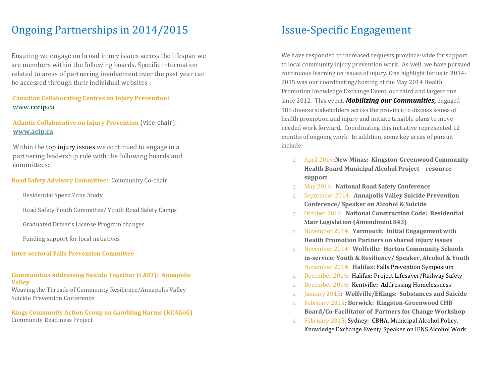## Ongoing Partnerships in 2014/2015

Ensuring we engage on broad injury issues across the lifespan we are members within the following boards. Specific information related to areas of partnering involvement over the past year can be accessed through their individual websites :

#### **Canadian Collaborating Centres on Injury Prevention**: www.**cccip**.ca

**Atlantic Collaborative on Injury Prevention** (vice-chair): **[www.acip.ca](http://www.acip.ca/)**

Within the top injury issues we continued to engage in a partnering leadership role with the following boards and committees:

#### **Road Safety Advisory Committee**: Community Co-chair

Residential Speed Zone Study

Road Safety Youth Committee/ Youth Road Safety Camps

Graduated Driver's License Program changes

Funding support for local initiatives

#### **Inter-sectoral Falls Prevention Committee**

#### **Communities Addressing Suicide Together (CAST): Annapolis Valley**

Weaving the Threads of Community Resilience/Annapolis Valley Suicide Prevention Conference

**Kings Community Action Group on Gambling Harms (KCAGoG)** Community Readiness Project

## Issue-Specific Engagement

We have responded to increased requests province-wide for support to local community injury prevention work. As well, we have pursued continuous learning on issues of injury. One highlight for us in 2014- 2015 was our coordinating/hosting of the May 2014 Health Promotion Knowledge Exchange Event, our third and largest one since 2012. This event, *Mobilizing our Communities,* engaged 185 diverse stakeholders across the province to discuss issues of health promotion and injury and initiate tangible plans to move needed work forward. Coordinating this initiative represented 12 months of ongoing work. In addition, some key areas of pursuit include:

- □ April 2014**:New Minas: Kingston-Greenwood Community Health Board Municipal Alcohol Project - resource support**
- □ May 2014: **National Road Safety Conference**
- □ September 2014: **Annapolis Valley Suicide Prevention Conference/ Speaker on Alcohol & Suicide**
- □ October 2014: **National Construction Code: Residential Stair Legislation (Amendment 843)**
- □ November 2014: **Yarmouth: Initial Engagement with Health Promotion Partners on shared injury issues**
- □ November 2014: **Wolfville: Horton Community Schools in-service: Youth & Resiliency/ Speaker, Alcohol & Youth** November 2014: **Halifax:** Falls Prevention Symposium
- □ December 2014: Halifax**:** Project Lifesaver/Railway Safety
- □ December 2014: Kentville**: A**ddressing Homelessness
- □ January 2015**: Wolfville/EKings: Substances and Suicide**
- □ February 2015**: Berwick: Kingston-Greenwood CHB Board/Co-Facilitator of Partners for Change Workshop**
- □ February 2015: Sydney: CBHA, Municipal Alcohol Policy, Knowledge Exchange Event/ Speaker on IFNS Alcohol Work